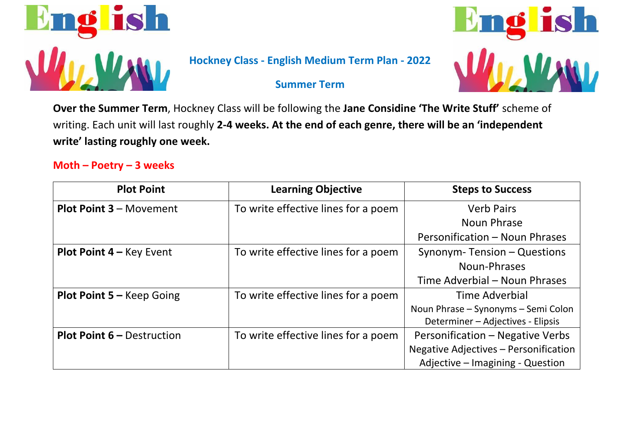

## **Hockney Class - English Medium Term Plan - 2022**

# **S** in

### **Summer Term**

**Over the Summer Term**, Hockney Class will be following the **Jane Considine 'The Write Stuff'** scheme of writing. Each unit will last roughly **2-4 weeks. At the end of each genre, there will be an 'independent write' lasting roughly one week.** 

### **Moth – Poetry – 3 weeks**

| <b>Plot Point</b>                 | <b>Learning Objective</b>           | <b>Steps to Success</b>               |
|-----------------------------------|-------------------------------------|---------------------------------------|
| <b>Plot Point 3 - Movement</b>    | To write effective lines for a poem | <b>Verb Pairs</b>                     |
|                                   |                                     | Noun Phrase                           |
|                                   |                                     | Personification - Noun Phrases        |
| <b>Plot Point 4 – Key Event</b>   | To write effective lines for a poem | Synonym-Tension - Questions           |
|                                   |                                     | Noun-Phrases                          |
|                                   |                                     | Time Adverbial – Noun Phrases         |
| <b>Plot Point 5 – Keep Going</b>  | To write effective lines for a poem | Time Adverbial                        |
|                                   |                                     | Noun Phrase - Synonyms - Semi Colon   |
|                                   |                                     | Determiner – Adjectives - Elipsis     |
| <b>Plot Point 6 - Destruction</b> | To write effective lines for a poem | Personification - Negative Verbs      |
|                                   |                                     | Negative Adjectives - Personification |
|                                   |                                     | Adjective - Imagining - Question      |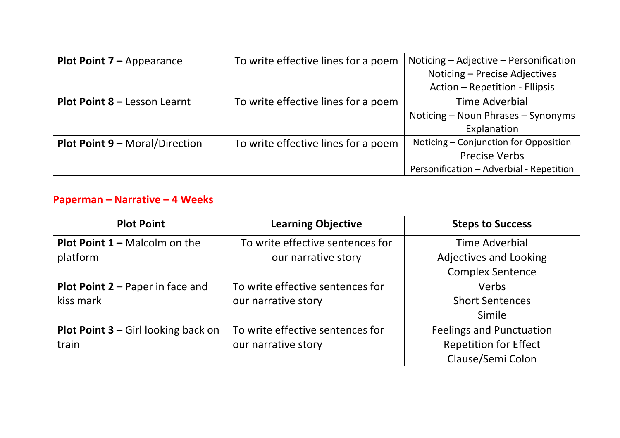| <b>Plot Point <math>7 -</math></b> Appearance | To write effective lines for a poem | Noticing – Adjective – Personification   |
|-----------------------------------------------|-------------------------------------|------------------------------------------|
|                                               |                                     | Noticing - Precise Adjectives            |
|                                               |                                     | Action - Repetition - Ellipsis           |
| Plot Point 8 - Lesson Learnt                  | To write effective lines for a poem | Time Adverbial                           |
|                                               |                                     | Noticing – Noun Phrases – Synonyms       |
|                                               |                                     | Explanation                              |
| <b>Plot Point 9 - Moral/Direction</b>         | To write effective lines for a poem | Noticing - Conjunction for Opposition    |
|                                               |                                     | <b>Precise Verbs</b>                     |
|                                               |                                     | Personification - Adverbial - Repetition |

# **Paperman – Narrative – 4 Weeks**

| <b>Plot Point</b>                          | <b>Learning Objective</b>        | <b>Steps to Success</b>         |
|--------------------------------------------|----------------------------------|---------------------------------|
| <b>Plot Point 1 – Malcolm on the</b>       | To write effective sentences for | Time Adverbial                  |
| platform                                   | our narrative story              | <b>Adjectives and Looking</b>   |
|                                            |                                  | <b>Complex Sentence</b>         |
| <b>Plot Point 2</b> – Paper in face and    | To write effective sentences for | Verbs                           |
| kiss mark                                  | our narrative story              | <b>Short Sentences</b>          |
|                                            |                                  | Simile                          |
| <b>Plot Point 3</b> – Girl looking back on | To write effective sentences for | <b>Feelings and Punctuation</b> |
| train                                      | our narrative story              | <b>Repetition for Effect</b>    |
|                                            |                                  | Clause/Semi Colon               |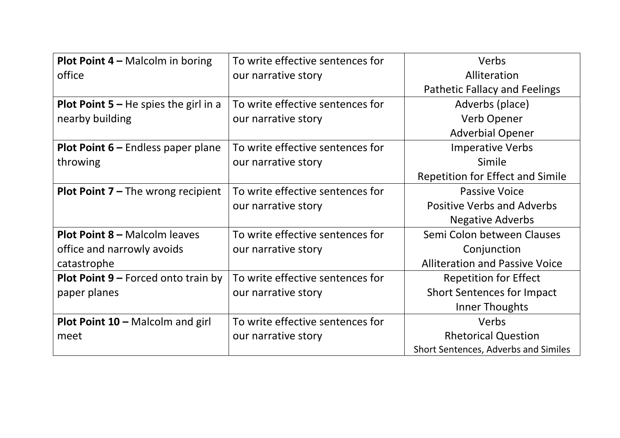| <b>Plot Point 4 – Malcolm in boring</b>      | To write effective sentences for | Verbs                                   |
|----------------------------------------------|----------------------------------|-----------------------------------------|
| office                                       | our narrative story              | Alliteration                            |
|                                              |                                  | <b>Pathetic Fallacy and Feelings</b>    |
| <b>Plot Point 5 – He spies the girl in a</b> | To write effective sentences for | Adverbs (place)                         |
| nearby building                              | our narrative story              | <b>Verb Opener</b>                      |
|                                              |                                  | <b>Adverbial Opener</b>                 |
| <b>Plot Point 6 – Endless paper plane</b>    | To write effective sentences for | <b>Imperative Verbs</b>                 |
| throwing                                     | our narrative story              | Simile                                  |
|                                              |                                  | <b>Repetition for Effect and Simile</b> |
| <b>Plot Point 7 – The wrong recipient</b>    | To write effective sentences for | <b>Passive Voice</b>                    |
|                                              | our narrative story              | <b>Positive Verbs and Adverbs</b>       |
|                                              |                                  | <b>Negative Adverbs</b>                 |
| <b>Plot Point 8 - Malcolm leaves</b>         | To write effective sentences for | Semi Colon between Clauses              |
| office and narrowly avoids                   | our narrative story              | Conjunction                             |
| catastrophe                                  |                                  | <b>Alliteration and Passive Voice</b>   |
| Plot Point 9 - Forced onto train by          | To write effective sentences for | <b>Repetition for Effect</b>            |
| paper planes                                 | our narrative story              | <b>Short Sentences for Impact</b>       |
|                                              |                                  | <b>Inner Thoughts</b>                   |
| <b>Plot Point 10 - Malcolm and girl</b>      | To write effective sentences for | Verbs                                   |
| meet                                         | our narrative story              | <b>Rhetorical Question</b>              |
|                                              |                                  | Short Sentences, Adverbs and Similes    |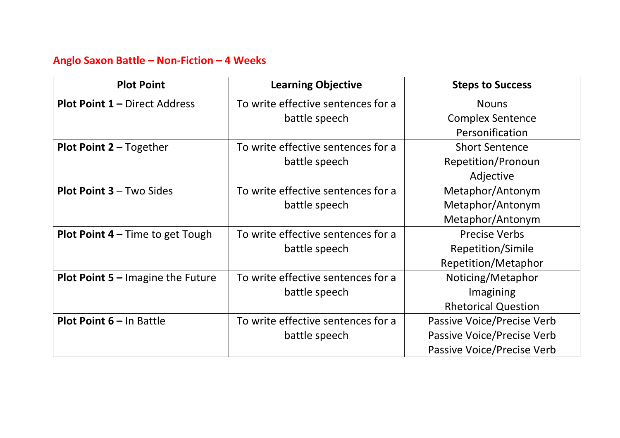# **Anglo Saxon Battle – Non-Fiction – 4 Weeks**

| <b>Plot Point</b>                        | <b>Learning Objective</b>          | <b>Steps to Success</b>    |
|------------------------------------------|------------------------------------|----------------------------|
| <b>Plot Point 1 - Direct Address</b>     | To write effective sentences for a | <b>Nouns</b>               |
|                                          | battle speech                      | <b>Complex Sentence</b>    |
|                                          |                                    | Personification            |
| Plot Point 2 - Together                  | To write effective sentences for a | <b>Short Sentence</b>      |
|                                          | battle speech                      | Repetition/Pronoun         |
|                                          |                                    | Adjective                  |
| <b>Plot Point 3 - Two Sides</b>          | To write effective sentences for a | Metaphor/Antonym           |
|                                          | battle speech                      | Metaphor/Antonym           |
|                                          |                                    | Metaphor/Antonym           |
| <b>Plot Point 4 – Time to get Tough</b>  | To write effective sentences for a | <b>Precise Verbs</b>       |
|                                          | battle speech                      | Repetition/Simile          |
|                                          |                                    | <b>Repetition/Metaphor</b> |
| <b>Plot Point 5 – Imagine the Future</b> | To write effective sentences for a | Noticing/Metaphor          |
|                                          | battle speech                      | Imagining                  |
|                                          |                                    | <b>Rhetorical Question</b> |
| <b>Plot Point 6 - In Battle</b>          | To write effective sentences for a | Passive Voice/Precise Verb |
|                                          | battle speech                      | Passive Voice/Precise Verb |
|                                          |                                    | Passive Voice/Precise Verb |